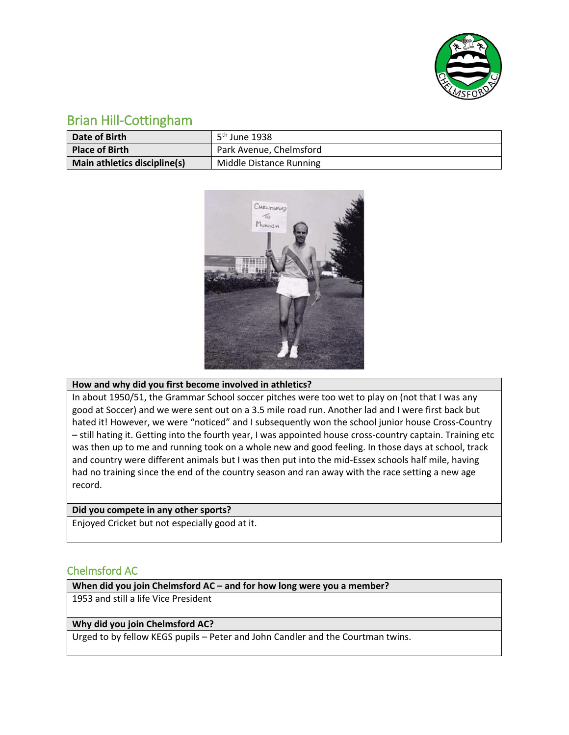

# Brian Hill-Cottingham

| Date of Birth                | 5 <sup>th</sup> June 1938 |
|------------------------------|---------------------------|
| <b>Place of Birth</b>        | Park Avenue, Chelmsford   |
| Main athletics discipline(s) | Middle Distance Running   |



# **How and why did you first become involved in athletics?**

In about 1950/51, the Grammar School soccer pitches were too wet to play on (not that I was any good at Soccer) and we were sent out on a 3.5 mile road run. Another lad and I were first back but hated it! However, we were "noticed" and I subsequently won the school junior house Cross-Country – still hating it. Getting into the fourth year, I was appointed house cross-country captain. Training etc was then up to me and running took on a whole new and good feeling. In those days at school, track and country were different animals but I was then put into the mid-Essex schools half mile, having had no training since the end of the country season and ran away with the race setting a new age record.

# **Did you compete in any other sports?**

Enjoyed Cricket but not especially good at it.

# Chelmsford AC

### **When did you join Chelmsford AC – and for how long were you a member?**

1953 and still a life Vice President

### **Why did you join Chelmsford AC?**

Urged to by fellow KEGS pupils – Peter and John Candler and the Courtman twins.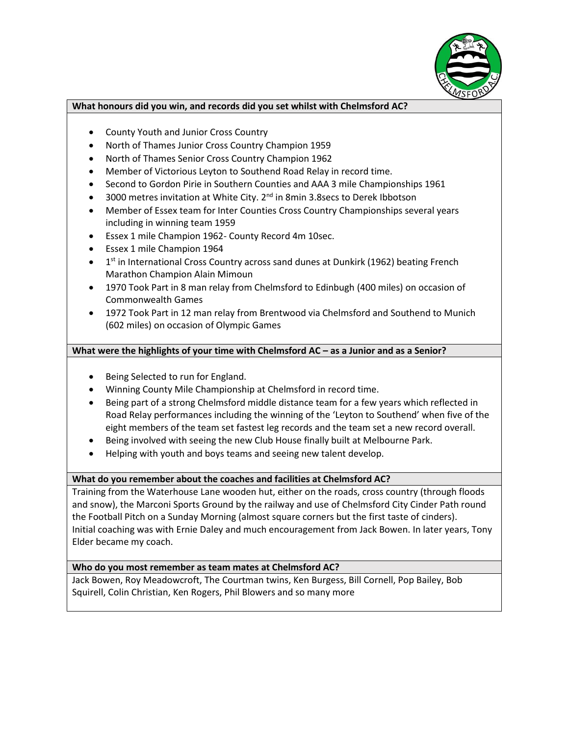

#### **What honours did you win, and records did you set whilst with Chelmsford AC?**

- County Youth and Junior Cross Country
- North of Thames Junior Cross Country Champion 1959
- North of Thames Senior Cross Country Champion 1962
- Member of Victorious Leyton to Southend Road Relay in record time.
- Second to Gordon Pirie in Southern Counties and AAA 3 mile Championships 1961
- $\bullet$  3000 metres invitation at White City. 2<sup>nd</sup> in 8min 3.8secs to Derek Ibbotson
- Member of Essex team for Inter Counties Cross Country Championships several years including in winning team 1959
- Essex 1 mile Champion 1962- County Record 4m 10sec.
- Essex 1 mile Champion 1964
- $\bullet$  1<sup>st</sup> in International Cross Country across sand dunes at Dunkirk (1962) beating French Marathon Champion Alain Mimoun
- 1970 Took Part in 8 man relay from Chelmsford to Edinbugh (400 miles) on occasion of Commonwealth Games
- 1972 Took Part in 12 man relay from Brentwood via Chelmsford and Southend to Munich (602 miles) on occasion of Olympic Games

# **What were the highlights of your time with Chelmsford AC – as a Junior and as a Senior?**

- Being Selected to run for England.
- Winning County Mile Championship at Chelmsford in record time.
- Being part of a strong Chelmsford middle distance team for a few years which reflected in Road Relay performances including the winning of the 'Leyton to Southend' when five of the eight members of the team set fastest leg records and the team set a new record overall.
- Being involved with seeing the new Club House finally built at Melbourne Park.
- Helping with youth and boys teams and seeing new talent develop.

# **What do you remember about the coaches and facilities at Chelmsford AC?**

Training from the Waterhouse Lane wooden hut, either on the roads, cross country (through floods and snow), the Marconi Sports Ground by the railway and use of Chelmsford City Cinder Path round the Football Pitch on a Sunday Morning (almost square corners but the first taste of cinders). Initial coaching was with Ernie Daley and much encouragement from Jack Bowen. In later years, Tony Elder became my coach.

# **Who do you most remember as team mates at Chelmsford AC?**

Jack Bowen, Roy Meadowcroft, The Courtman twins, Ken Burgess, Bill Cornell, Pop Bailey, Bob Squirell, Colin Christian, Ken Rogers, Phil Blowers and so many more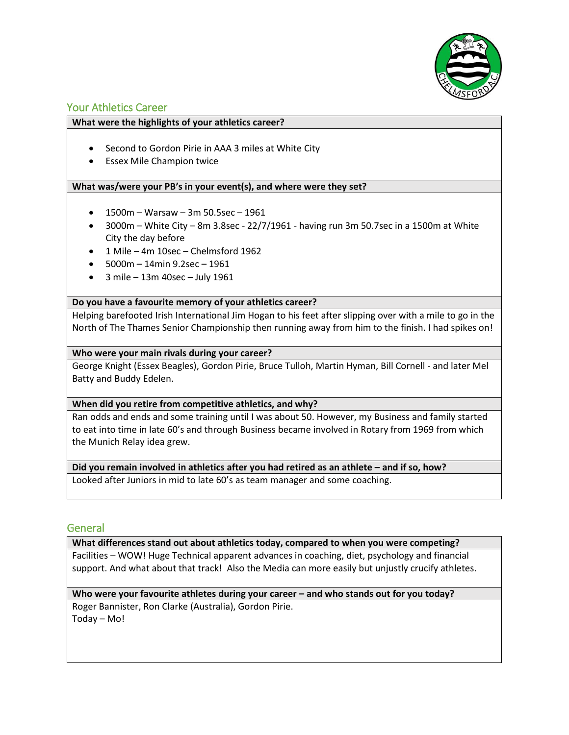

# Your Athletics Career

# **What were the highlights of your athletics career?**

- Second to Gordon Pirie in AAA 3 miles at White City
- Essex Mile Champion twice

# **What was/were your PB's in your event(s), and where were they set?**

- $-1500m Warsaw 3m 50.5sec 1961$
- $\bullet$  3000m White City 8m 3.8sec 22/7/1961 having run 3m 50.7sec in a 1500m at White City the day before
- 1 Mile 4m 10sec Chelmsford 1962
- $-5000m 14min 9.2sec 1961$
- $\bullet$  3 mile 13m 40sec July 1961

### **Do you have a favourite memory of your athletics career?**

Helping barefooted Irish International Jim Hogan to his feet after slipping over with a mile to go in the North of The Thames Senior Championship then running away from him to the finish. I had spikes on!

### **Who were your main rivals during your career?**

George Knight (Essex Beagles), Gordon Pirie, Bruce Tulloh, Martin Hyman, Bill Cornell - and later Mel Batty and Buddy Edelen.

### **When did you retire from competitive athletics, and why?**

Ran odds and ends and some training until I was about 50. However, my Business and family started to eat into time in late 60's and through Business became involved in Rotary from 1969 from which the Munich Relay idea grew.

### **Did you remain involved in athletics after you had retired as an athlete – and if so, how?**

Looked after Juniors in mid to late 60's as team manager and some coaching.

# **General**

### **What differences stand out about athletics today, compared to when you were competing?**

Facilities – WOW! Huge Technical apparent advances in coaching, diet, psychology and financial support. And what about that track! Also the Media can more easily but unjustly crucify athletes.

# **Who were your favourite athletes during your career – and who stands out for you today?**

Roger Bannister, Ron Clarke (Australia), Gordon Pirie. Today – Mo!